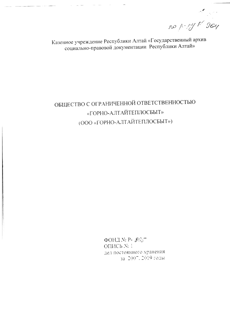no p-14 K 964

Казенное учреждение Республики Алтай «Государственный архив социально-правовой документации Республики Алтай»

## ОБЩЕСТВО С ОГРАНИЧЕННОЙ ОТВЕТСТВЕННОСТЬЮ «ГОРНО-АЛТАЙТЕПЛОСБЫТ» (ООО «ГОРНО-АЛТАЙТЕПЛОСБЫТ»)

 $\Phi$ OHINºP-825 ОПИСЬ № 1 дел постоянного хранения за 2007. 2019 годы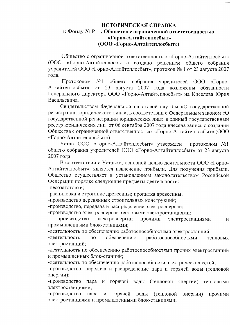## ИСТОРИЧЕСКАЯ СПРАВКА к Фонду № Р-, Общество с ограниченной ответственностью «Горно-Алтайтеплосбыт» (ООО «Горно-Алтайтеплосбыт»)

Общество с ограниченной ответственностью «Горно-Алтайтеплосбыт» (ООО «Горно-Алтайтеплосбыт») создано решением общего собрания учредителей ООО «Горно-Алтайтеплосбыт», протокол № 1 от 23 августа 2007 года.

Протоколом  $N_2$  1 общего собрания учредителей 000  $\langle \sqrt{\Omega}$ орно-Алтайтеплосбыт» or 23 августа 2007 года возложены обязанности Генерального директора ООО «Горно-Алтайтеплосбыт» на Киселева Юрия Васильевича.

Свидетельством Федеральной налоговой службы «О государственной регистрации юридического лица», в соответствии с Федеральным законом «О государственной регистрации юридических лиц» в единый государственный реестр юридических лиц от 06 сентября 2007 года внесена запись о создании Общества с ограниченной ответственностью «Горно-Алтайтеплосбыт» (ООО «Горно-Алтайтеплосбыт»).

Устав ООО «Горно-Алтайтеплосбыт» утвержден протоколом №1 общего собрания учредителей ООО «Горно-Алтайтеплосбыт» от 23 августа 2007 года.

В соответствии с Уставом, основной целью деятельности ООО «Горно-Алтайтеплосбыт», является извлечение прибыли. Для получения прибыли, Общество осуществляет в установленном законодательством Российской Федерации порядке следующие предметы деятельности:

-лесозаготовки;

-распиловка и строгание древесины; пропитка древесины;

-производство деревянных строительных конструкций;

-производство, передача и распределение электроэнергии;

-производство электроэнергии тепловыми электростанциями;

электроэнергии производство прочими электростанциями И промышленными блок-станциями;

-деятельность по обеспечению работоспособностями электростанций;

работоспособностями обеспечению -деятельность  $\Pi$ O тепловых электростанций;

-деятельность по обеспечению работоспособностями прочих электростанций и промышленных блок-станций;

-деятельность по обеспечению работоспособности электрических сетей;

-производство, передача и распределение пара и горячей воды (тепловой энергии);

-производство горячей воды (тепловой энергии) тепловыми пара  $\overline{M}$ электростанциями;

-производство горячей пара  $\boldsymbol{\mathrm{M}}$ воды (тепловой энергии) прочими электростанциями и промышленными блок-станциями;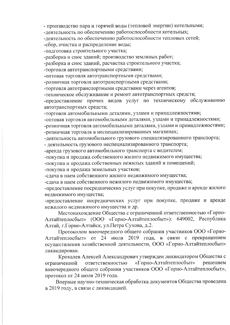- производство пара и горячей воды (тепловой энергии) котельными;

-деятельность по обеспечению работоспособности котельных;

-деятельность по обеспечению работоспособности тепловых сетей;

-сбор, очистка и распределение воды;

-подготовка строительного участка;

-разборка и снос зданий; производство земляных работ;

-разборка и снос зданий, расчистка строительного участка;

-торговля автотранспортными средствами;

-оптовая торговля автотранспортными средствами;

-розничная торговля автотранспортными средствами;

-торговля автотранспортными средствами через агентов;

-техническое обслуживание и ремонт автотранспортных средств;

-предоставление прочих видов услуг по техническому обслуживанию автотранспортных средств;

-торговля автомобильными деталями, узлами и принадлежностями;

-оптовая торговля автомобильными деталями, узлами и принадлежностями;

-розничная торговля автомобильными деталями, узлами и принадлежностями; -розничная торговля в неспециализированных магазинах;

-деятельность автомобильного грузового специализированного транспорта;

- деятельность грузового неспециализированного транспорта;

-аренда грузового автомобильного транспорта с водителем;

-покупка и продажа собственного жилого недвижимого имущества;

-покупка и продажа собственных нежилых зданий и помещений;

-покупка и продажа земельных участков;

-слача в наем собственного жилого недвижимого имущества;

-сдача в наем собственного нежилого недвижимого имущества;

-предоставление посреднических услуг при покупке, продаже и аренде жилого недвижимого имущества;

-предоставление посреднических услуг при покупке, продаже и аренде нежилого недвижимого имущества и др.

Местонахождение Общества с ограниченной ответственностью «Горно-Алтайтеплосбыт» (ООО «Горно-Алтайтеплосбыт»): 649002, Республика Алтай, г.Горно-Алтайск, ул.Петра Сухова, д.2.

Протоколом внеочередного общего собрания участников ООО «Горно-Алтайтеплосбыт» от 24 июля 2019 года, в связи с прекращением осуществления хозяйственной деятельности, ООО «Горно-Алтайтеплосбыт» ликвидирован.

Крохалев Алексей Александрович утвержден ликвидатором Общества с «Горно-Алтайтеплосбыт» решением ответственностью ограниченной внеочередного общего собрания участников ООО «Горно-Алтайтеплосбыт», протокол от 24 июля 2019 года.

Впервые научно-техническая обработка документов Общества проведена в 2019 году, в связи с ликвидацией.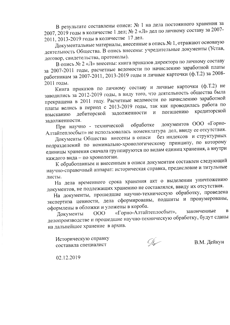В результате составлены описи: № 1 на дела постоянного хранения за 2007, 2019 годы в количестве 1 дел; № 2 «Л» дел по личному составу за 2007-2011, 2013-2019 годы в количестве 17 дел.

Документальные материалы, внесенные в опись № 1, отражают основную деятельность Общества. В опись внесены: учредительные документы (Устав, договор, свидетельства, протоколы).

В опись № 2 «Л» внесены: книга приказов директора по личному составу за 2007-2011 годы, расчетные ведомости по начислению заработной платы работникам за 2007-2011, 2013-2019 годы и личные карточки (ф.Т.2) за 2008-2011 годы.

Книга приказов по личному составу и личные карточки (ф.Т.2) не заводились за 2012-2019 годы, в виду того, что деятельность общества была прекращена в 2011 году. Расчетные ведомости по начислению заработной платы велись в период с 2013-2019 годы, так как проводилась работа по кредиторской погашению задолженности  $\mathbf{M}$ дебиторской взысканию задолженности.

документов ООО «Горно-При научно - технической обработке Алтайтеплосбыт» не использовалась номенклатура дел, ввиду ее отсутствия.

без индексов и структурных Документы Общества внесены в описи подразделений по номинально-хронологическому принципу, по которому единицы хранения сначала группируются по видам единиц хранения, а внутри каждого вида - по хронологии.

К обработанным и внесенным в описи документам составлен следующий научно-справочный аппарат: историческая справка, предисловие и титульные листы.

На дела временного срока хранения акт о выделении уничтожению документов, не подлежащих хранению не составлялся, ввиду их отсутствия.

На документы, прошедшие научно-техническую обработку, проведена экспертиза ценности, дела сформированы, подшиты и пронумерованы, оформлены в обложки и уложены в короба.

«Горно-Алтайтеплосбыт», законченные  $\bf{B}$  $000$ Документы делопроизводстве и прошедшие научно-техническую обработку, будут сданы на дальнейшее хранение в архив.

Историческую справку составила специалист

 $\mathbb{G}$ 

В.М. Дейкун

02.12.2019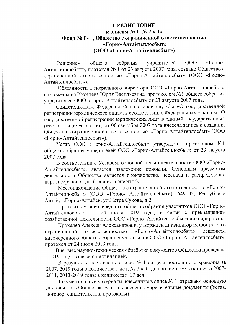## ПРЕДИСЛОВИЕ

## к описям № 1, № 2 «Л» Фонд № Р-, Общество с ограниченной ответственностью «Горно-Алтайтеплосбыт» (ООО «Горно-Алтайтеплосбыт»)

«Горнособрания учредителей  $000$ Решением общего Алтайтеплосбыт», протокол № 1 от 23 августа 2007 года, создано Общество с ограниченной ответственностью «Горно-Алтайтеплосбыт» (ООО «Горно-Алтайтеплосбыт»).

Обязанности Генерального директора ООО «Горно-Алтайтеплосбыт» возложены на Киселева Юрия Васильевича протоколом №1 общего собрания учредителей ООО «Горно-Алтайтеплосбыт» от 23 августа 2007 года.

Свидетельством Федеральной налоговой службы «О государственной регистрации юридического лица», в соответствии с Федеральным законом «О государственной регистрации юридических лиц» в единый государственный реестр юридических лиц от 06 сентября 2007 года внесена запись о создании Общества с ограниченной ответственностью «Горно-Алтайтеплосбыт» (ООО «Горно-Алтайтеплосбыт»).

Устав ООО «Горно-Алтайтеплосбыт» утвержден протоколом  $N<sub>2</sub>1$ общего собрания учредителей ООО «Горно-Алтайтеплосбыт» от 23 августа 2007 года.

В соответствии с Уставом, основной целью деятельности ООО «Горно-Алтайтеплосбыт», является извлечение прибыли. Основным предметом деятельности Общества является производство, передача и распределение пара и горячей воды (тепловой энергии).

Местонахождение Общества с ограниченной ответственностью «Горно-Алтайтеплосбыт» (ООО «Горно- Алтайтеплосбыт»): 649002, Республика Алтай, г.Горно-Алтайск, ул.Петра Сухова, д.2.

Протоколом внеочередного общего собрания участников ООО «Горно-Алтайтеплосбыт» от 24 июля 2019 года, в связи с прекращением хозяйственной деятельности, ООО «Горно-Алтайтеплосбыт» ликвидирован.

Крохалев Алексей Александрович утвержден ликвидатором Общества с «Горно-Алтайтеплосбыт» решением ответственностью ограниченной внеочередного общего собрания участников ООО «Горно- Алтайтеплосбыт», протокол от 24 июля 2019 года.

Впервые научно-техническая обработка документов Общества проведена в 2019 году, в связи с ликвидацией.

В результате составлены описи: № 1 на дела постоянного хранения за 2007, 2019 годы в количестве 1 дел; № 2 «Л» дел по личному составу за 2007-2011, 2013-2019 годы в количестве 17 дел.

Документальные материалы, внесенные в опись № 1, отражают основную деятельность Общества. В опись внесены: учредительные документы (Устав, договор, свидетельства, протоколы).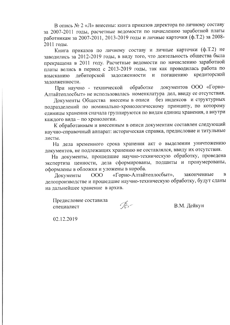В опись № 2 «Л» внесены: книга приказов директора по личному составу за 2007-2011 годы, расчетные ведомости по начислению заработной платы работникам за 2007-2011, 2013-2019 годы и личные карточки (ф.Т.2) за 2008-2011 годы.

Книга приказов по личному составу и личные карточки (ф.Т.2) не заводились за 2012-2019 годы, в виду того, что деятельность общества была прекращена в 2011 году. Расчетные ведомости по начислению заработной платы велись в период с 2013-2019 годы, так как проводилась работа по погашению кредиторской задолженности дебиторской  $\overline{M}$ взысканию задолженности.

документов ООО «Горнообработке При научно - технической Алтайтеплосбыт» не использовалась номенклатура дел, ввиду ее отсутствия.

Документы Общества внесены в описи без индексов и структурных подразделений по номинально-хронологическому принципу, по которому единицы хранения сначала группируются по видам единиц хранения, а внутри каждого вида - по хронологии.

К обработанным и внесенным в описи документам составлен следующий научно-справочный аппарат: историческая справка, предисловие и титульные листы.

На дела временного срока хранения акт о выделении уничтожению документов, не подлежащих хранению не составлялся, ввиду их отсутствия.

На документы, прошедшие научно-техническую обработку, проведена экспертиза ценности, дела сформированы, подшиты и пронумерованы, оформлены в обложки и уложены в короба.

«Горно-Алтайтеплосбыт», законченные 000  $\bf{B}$ Документы делопроизводстве и прошедшие научно-техническую обработку, будут сданы на дальнейшее хранение в архив.

Предисловие составила специалист

 $\mathcal{A}_{\mathcal{F}}$ 

В.М. Дейкун

02.12.2019